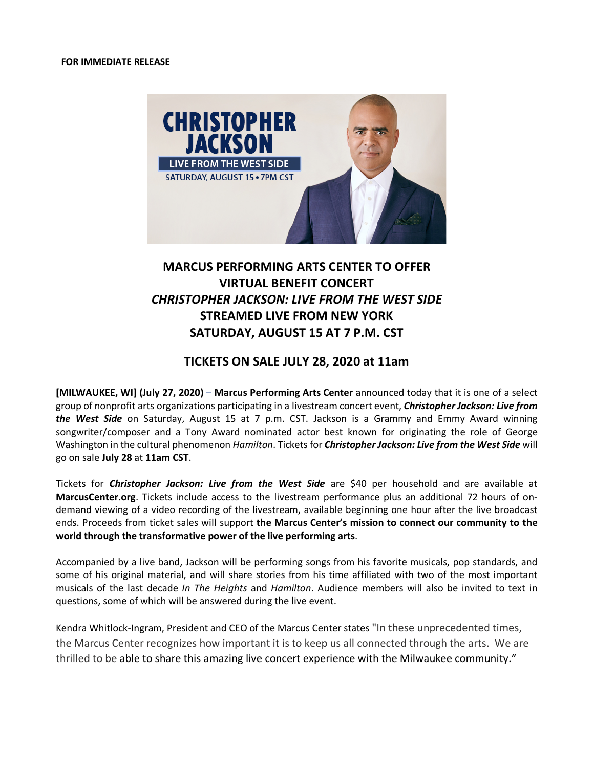

# **MARCUS PERFORMING ARTS CENTER TO OFFER VIRTUAL BENEFIT CONCERT** *CHRISTOPHER JACKSON: LIVE FROM THE WEST SIDE* **STREAMED LIVE FROM NEW YORK SATURDAY, AUGUST 15 AT 7 P.M. CST**

## **TICKETS ON SALE JULY 28, 2020 at 11am**

**[MILWAUKEE, WI] (July 27, 2020)** – **Marcus Performing Arts Center** announced today that it is one of a select group of nonprofit arts organizations participating in a livestream concert event, *Christopher Jackson: Live from the West Side* on Saturday, August 15 at 7 p.m. CST. Jackson is a Grammy and Emmy Award winning songwriter/composer and a Tony Award nominated actor best known for originating the role of George Washington in the cultural phenomenon *Hamilton*. Tickets for *Christopher Jackson: Live from the West Side* will go on sale **July 28** at **11am CST**.

Tickets for *Christopher Jackson: Live from the West Side* are \$40 per household and are available at **MarcusCenter.org**. Tickets include access to the livestream performance plus an additional 72 hours of ondemand viewing of a video recording of the livestream, available beginning one hour after the live broadcast ends. Proceeds from ticket sales will support **the Marcus Center's mission to connect our community to the world through the transformative power of the live performing arts**.

Accompanied by a live band, Jackson will be performing songs from his favorite musicals, pop standards, and some of his original material, and will share stories from his time affiliated with two of the most important musicals of the last decade *In The Heights* and *Hamilton*. Audience members will also be invited to text in questions, some of which will be answered during the live event.

Kendra Whitlock-Ingram, President and CEO of the Marcus Center states "In these unprecedented times, the Marcus Center recognizes how important it is to keep us all connected through the arts. We are thrilled to be able to share this amazing live concert experience with the Milwaukee community."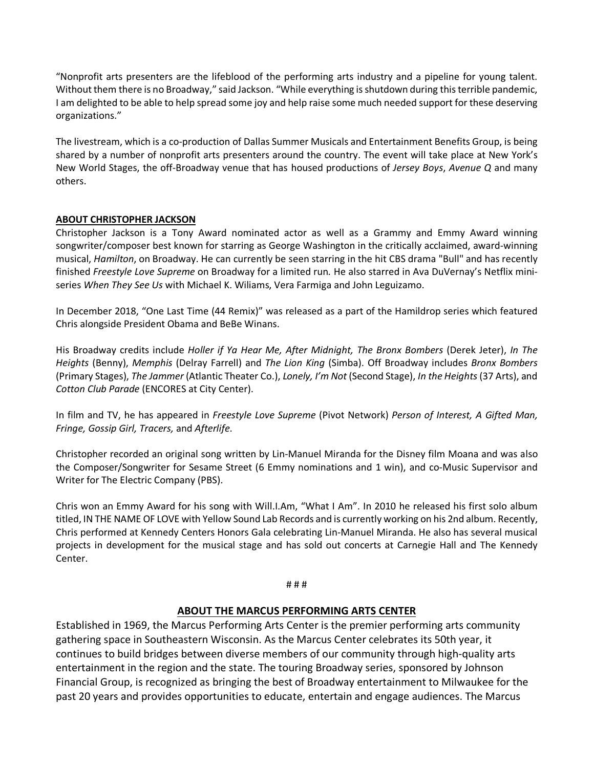"Nonprofit arts presenters are the lifeblood of the performing arts industry and a pipeline for young talent. Without them there is no Broadway," said Jackson. "While everything is shutdown during this terrible pandemic, I am delighted to be able to help spread some joy and help raise some much needed support for these deserving organizations."

The livestream, which is a co-production of Dallas Summer Musicals and Entertainment Benefits Group, is being shared by a number of nonprofit arts presenters around the country. The event will take place at New York's New World Stages, the off-Broadway venue that has housed productions of *Jersey Boys*, *Avenue Q* and many others.

### **ABOUT CHRISTOPHER JACKSON**

Christopher Jackson is a Tony Award nominated actor as well as a Grammy and Emmy Award winning songwriter/composer best known for starring as George Washington in the critically acclaimed, award-winning musical, *Hamilton*, on Broadway. He can currently be seen starring in the hit CBS drama "Bull" and has recently finished *Freestyle Love Supreme* on Broadway for a limited run*.* He also starred in Ava DuVernay's Netflix miniseries *When They See Us* with Michael K. Wiliams, Vera Farmiga and John Leguizamo.

In December 2018, "One Last Time (44 Remix)" was released as a part of the Hamildrop series which featured Chris alongside President Obama and BeBe Winans.

His Broadway credits include *Holler if Ya Hear Me, After Midnight, The Bronx Bombers* (Derek Jeter), *In The Heights* (Benny), *Memphis* (Delray Farrell) and *The Lion King* (Simba). Off Broadway includes *Bronx Bombers* (Primary Stages), *The Jammer* (Atlantic Theater Co.), *Lonely, I'm Not* (Second Stage), *In the Heights* (37 Arts), and *Cotton Club Parade* (ENCORES at City Center).

In film and TV, he has appeared in *Freestyle Love Supreme* (Pivot Network) *Person of Interest, A Gifted Man, Fringe, Gossip Girl, Tracers,* and *Afterlife*.

Christopher recorded an original song written by Lin-Manuel Miranda for the Disney film Moana and was also the Composer/Songwriter for Sesame Street (6 Emmy nominations and 1 win), and co-Music Supervisor and Writer for The Electric Company (PBS).

Chris won an Emmy Award for his song with Will.I.Am, "What I Am". In 2010 he released his first solo album titled, IN THE NAME OF LOVE with Yellow Sound Lab Records and is currently working on his 2nd album. Recently, Chris performed at Kennedy Centers Honors Gala celebrating Lin-Manuel Miranda. He also has several musical projects in development for the musical stage and has sold out concerts at Carnegie Hall and The Kennedy Center.

#### # # #

### **ABOUT THE MARCUS PERFORMING ARTS CENTER**

Established in 1969, the Marcus Performing Arts Center is the premier performing arts community gathering space in Southeastern Wisconsin. As the Marcus Center celebrates its 50th year, it continues to build bridges between diverse members of our community through high-quality arts entertainment in the region and the state. The touring Broadway series, sponsored by Johnson Financial Group, is recognized as bringing the best of Broadway entertainment to Milwaukee for the past 20 years and provides opportunities to educate, entertain and engage audiences. The Marcus